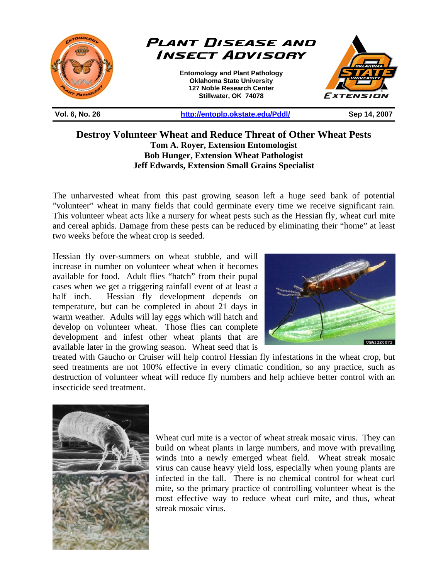

**Destroy Volunteer Wheat and Reduce Threat of Other Wheat Pests Tom A. Royer, Extension Entomologist Bob Hunger, Extension Wheat Pathologist Jeff Edwards, Extension Small Grains Specialist** 

The unharvested wheat from this past growing season left a huge seed bank of potential "volunteer" wheat in many fields that could germinate every time we receive significant rain. This volunteer wheat acts like a nursery for wheat pests such as the Hessian fly, wheat curl mite and cereal aphids. Damage from these pests can be reduced by eliminating their "home" at least two weeks before the wheat crop is seeded.

Hessian fly over-summers on wheat stubble, and will increase in number on volunteer wheat when it becomes available for food. Adult flies "hatch" from their pupal cases when we get a triggering rainfall event of at least a half inch. Hessian fly development depends on temperature, but can be completed in about 21 days in warm weather. Adults will lay eggs which will hatch and develop on volunteer wheat. Those flies can complete development and infest other wheat plants that are available later in the growing season. Wheat seed that is



treated with Gaucho or Cruiser will help control Hessian fly infestations in the wheat crop, but seed treatments are not 100% effective in every climatic condition, so any practice, such as destruction of volunteer wheat will reduce fly numbers and help achieve better control with an insecticide seed treatment.



Wheat curl mite is a vector of wheat streak mosaic virus. They can build on wheat plants in large numbers, and move with prevailing winds into a newly emerged wheat field. Wheat streak mosaic virus can cause heavy yield loss, especially when young plants are infected in the fall. There is no chemical control for wheat curl mite, so the primary practice of controlling volunteer wheat is the most effective way to reduce wheat curl mite, and thus, wheat streak mosaic virus.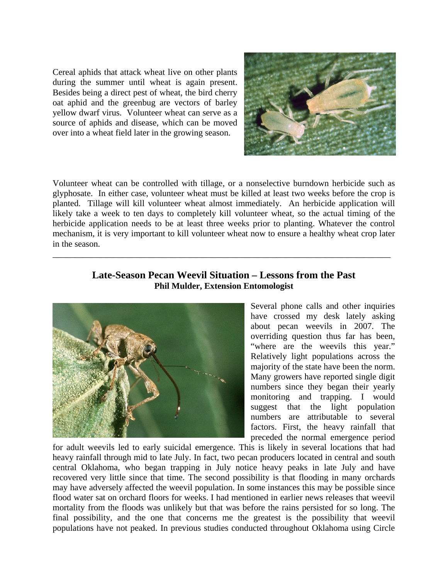Cereal aphids that attack wheat live on other plants during the summer until wheat is again present. Besides being a direct pest of wheat, the bird cherry oat aphid and the greenbug are vectors of barley yellow dwarf virus. Volunteer wheat can serve as a source of aphids and disease, which can be moved over into a wheat field later in the growing season.



Volunteer wheat can be controlled with tillage, or a nonselective burndown herbicide such as glyphosate. In either case, volunteer wheat must be killed at least two weeks before the crop is planted. Tillage will kill volunteer wheat almost immediately. An herbicide application will likely take a week to ten days to completely kill volunteer wheat, so the actual timing of the herbicide application needs to be at least three weeks prior to planting. Whatever the control mechanism, it is very important to kill volunteer wheat now to ensure a healthy wheat crop later in the season.

## **Late-Season Pecan Weevil Situation – Lessons from the Past Phil Mulder, Extension Entomologist**

\_\_\_\_\_\_\_\_\_\_\_\_\_\_\_\_\_\_\_\_\_\_\_\_\_\_\_\_\_\_\_\_\_\_\_\_\_\_\_\_\_\_\_\_\_\_\_\_\_\_\_\_\_\_\_\_\_\_\_\_\_\_\_\_\_\_\_\_\_\_\_\_\_\_\_\_\_



Several phone calls and other inquiries have crossed my desk lately asking about pecan weevils in 2007. The overriding question thus far has been, "where are the weevils this year." Relatively light populations across the majority of the state have been the norm. Many growers have reported single digit numbers since they began their yearly monitoring and trapping. I would suggest that the light population numbers are attributable to several factors. First, the heavy rainfall that preceded the normal emergence period

for adult weevils led to early suicidal emergence. This is likely in several locations that had heavy rainfall through mid to late July. In fact, two pecan producers located in central and south central Oklahoma, who began trapping in July notice heavy peaks in late July and have recovered very little since that time. The second possibility is that flooding in many orchards may have adversely affected the weevil population. In some instances this may be possible since flood water sat on orchard floors for weeks. I had mentioned in earlier news releases that weevil mortality from the floods was unlikely but that was before the rains persisted for so long. The final possibility, and the one that concerns me the greatest is the possibility that weevil populations have not peaked. In previous studies conducted throughout Oklahoma using Circle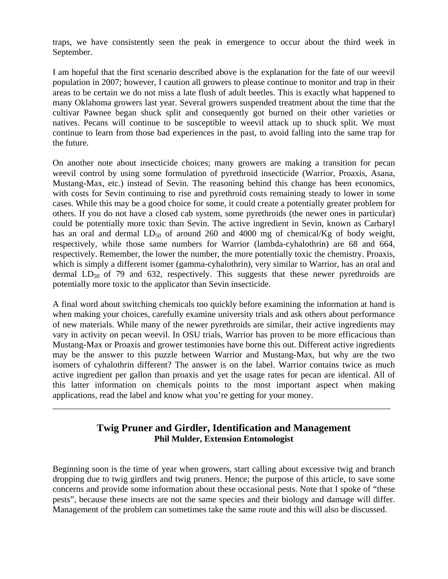traps, we have consistently seen the peak in emergence to occur about the third week in September.

I am hopeful that the first scenario described above is the explanation for the fate of our weevil population in 2007; however, I caution all growers to please continue to monitor and trap in their areas to be certain we do not miss a late flush of adult beetles. This is exactly what happened to many Oklahoma growers last year. Several growers suspended treatment about the time that the cultivar Pawnee began shuck split and consequently got burned on their other varieties or natives. Pecans will continue to be susceptible to weevil attack up to shuck split. We must continue to learn from those bad experiences in the past, to avoid falling into the same trap for the future.

On another note about insecticide choices; many growers are making a transition for pecan weevil control by using some formulation of pyrethroid insecticide (Warrior, Proaxis, Asana, Mustang-Max, etc.) instead of Sevin. The reasoning behind this change has been economics, with costs for Sevin continuing to rise and pyrethroid costs remaining steady to lower in some cases. While this may be a good choice for some, it could create a potentially greater problem for others. If you do not have a closed cab system, some pyrethroids (the newer ones in particular) could be potentially more toxic than Sevin. The active ingredient in Sevin, known as Carbaryl has an oral and dermal  $LD_{50}$  of around 260 and 4000 mg of chemical/Kg of body weight, respectively, while those same numbers for Warrior (lambda-cyhalothrin) are 68 and 664, respectively. Remember, the lower the number, the more potentially toxic the chemistry. Proaxis, which is simply a different isomer (gamma-cyhalothrin), very similar to Warrior, has an oral and dermal  $LD_{50}$  of 79 and 632, respectively. This suggests that these newer pyrethroids are potentially more toxic to the applicator than Sevin insecticide.

A final word about switching chemicals too quickly before examining the information at hand is when making your choices, carefully examine university trials and ask others about performance of new materials. While many of the newer pyrethroids are similar, their active ingredients may vary in activity on pecan weevil. In OSU trials, Warrior has proven to be more efficacious than Mustang-Max or Proaxis and grower testimonies have borne this out. Different active ingredients may be the answer to this puzzle between Warrior and Mustang-Max, but why are the two isomers of cyhalothrin different? The answer is on the label. Warrior contains twice as much active ingredient per gallon than proaxis and yet the usage rates for pecan are identical. All of this latter information on chemicals points to the most important aspect when making applications, read the label and know what you're getting for your money.

## **Twig Pruner and Girdler, Identification and Management Phil Mulder, Extension Entomologist**

\_\_\_\_\_\_\_\_\_\_\_\_\_\_\_\_\_\_\_\_\_\_\_\_\_\_\_\_\_\_\_\_\_\_\_\_\_\_\_\_\_\_\_\_\_\_\_\_\_\_\_\_\_\_\_\_\_\_\_\_\_\_\_\_\_\_\_\_\_\_\_\_\_\_\_\_\_

Beginning soon is the time of year when growers, start calling about excessive twig and branch dropping due to twig girdlers and twig pruners. Hence; the purpose of this article, to save some concerns and provide some information about these occasional pests. Note that I spoke of "these pests", because these insects are not the same species and their biology and damage will differ. Management of the problem can sometimes take the same route and this will also be discussed.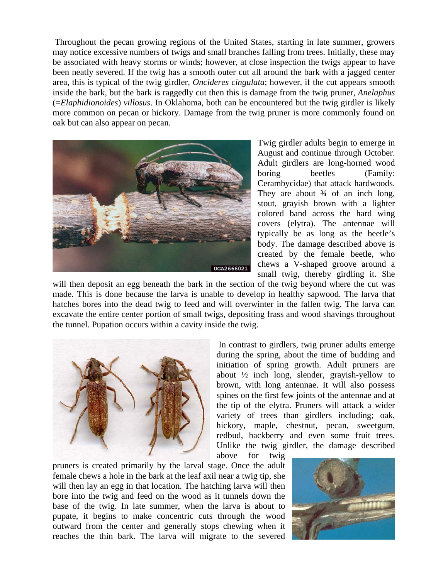Throughout the pecan growing regions of the United States, starting in late summer, growers may notice excessive numbers of twigs and small branches falling from trees. Initially, these may be associated with heavy storms or winds; however, at close inspection the twigs appear to have been neatly severed. If the twig has a smooth outer cut all around the bark with a jagged center area, this is typical of the twig girdler, *Oncideres cingulata*; however, if the cut appears smooth inside the bark, but the bark is raggedly cut then this is damage from the twig pruner, *Anelaphus* (=*Elaphidionoides*) *villosus*. In Oklahoma, both can be encountered but the twig girdler is likely more common on pecan or hickory. Damage from the twig pruner is more commonly found on oak but can also appear on pecan.



Twig girdler adults begin to emerge in August and continue through October. Adult girdlers are long-horned wood boring beetles (Family: Cerambycidae) that attack hardwoods. They are about  $\frac{3}{4}$  of an inch long, stout, grayish brown with a lighter colored band across the hard wing covers (elytra). The antennae will typically be as long as the beetle's body. The damage described above is created by the female beetle, who chews a V-shaped groove around a small twig, thereby girdling it. She

will then deposit an egg beneath the bark in the section of the twig beyond where the cut was made. This is done because the larva is unable to develop in healthy sapwood. The larva that hatches bores into the dead twig to feed and will overwinter in the fallen twig. The larva can excavate the entire center portion of small twigs, depositing frass and wood shavings throughout the tunnel. Pupation occurs within a cavity inside the twig.



 In contrast to girdlers, twig pruner adults emerge during the spring, about the time of budding and initiation of spring growth. Adult pruners are about  $\frac{1}{2}$  inch long, slender, grayish-yellow to brown, with long antennae. It will also possess spines on the first few joints of the antennae and at the tip of the elytra. Pruners will attack a wider variety of trees than girdlers including; oak, hickory, maple, chestnut, pecan, sweetgum, redbud, hackberry and even some fruit trees. Unlike the twig girdler, the damage described above for twig

pruners is created primarily by the larval stage. Once the adult female chews a hole in the bark at the leaf axil near a twig tip, she will then lay an egg in that location. The hatching larva will then bore into the twig and feed on the wood as it tunnels down the base of the twig. In late summer, when the larva is about to pupate, it begins to make concentric cuts through the wood outward from the center and generally stops chewing when it reaches the thin bark. The larva will migrate to the severed